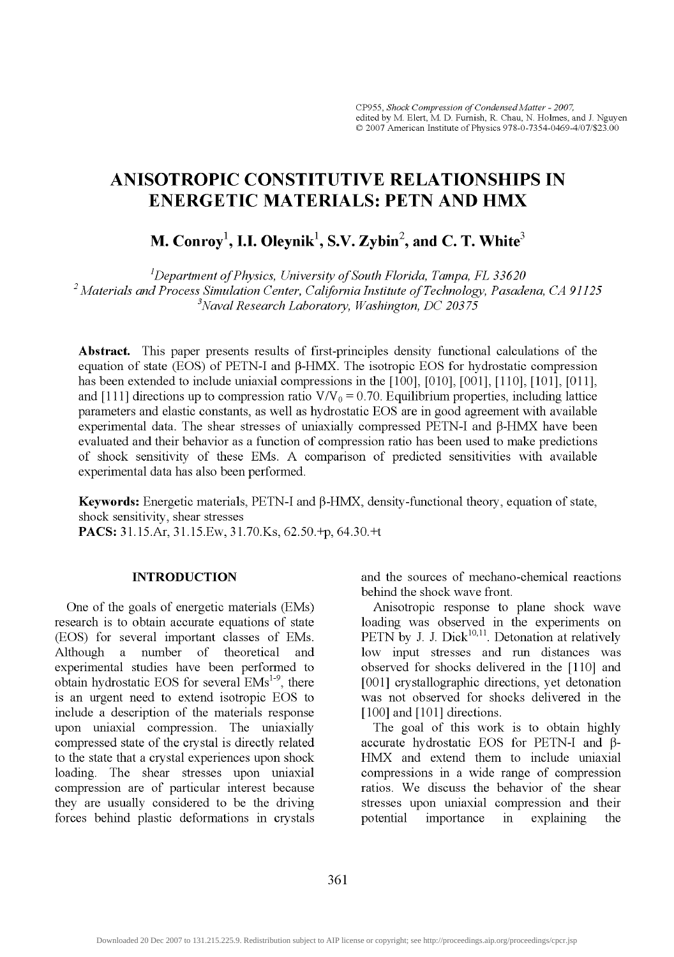# ANISOTROPIC CONSTITUTIVE RELATIONSHIPS IN ENERGETIC MATERIALS: PETN AND HMX

M. Conroy<sup>1</sup>, I.I. Oleynik<sup>1</sup>, S.V. Zybin<sup>2</sup>, and C. T. White<sup>3</sup>

*'Department of Physics, University of South Florida, Tampa, FL 33620 ^Materials and Process Simulation Center, California Institute of Technology, Pasadena, CA 91125 ^Naval Research Laboratory, Washington, DC 203 75* 

**Abstract.** This paper presents results of first-principles density functional calculations of the equation of state (EOS) of PETN-I and  $\beta$ -HMX. The isotropic EOS for hydrostatic compression has been extended to include uniaxial compressions in the [100], [010], [001], [101], [101], [011], and [111] directions up to compression ratio  $V/V_0 = 0.70$ . Equilibrium properties, including lattice parameters and elastic constants, as well as hydrostatic EOS are in good agreement with available experimental data. The shear stresses of uniaxially compressed  $PETN-I$  and  $\beta$ -HMX have been evaluated and their behavior as a function of compression ratio has been used to make predictions of shock sensitivity of these EMs. A comparison of predicted sensitivities with available experimental data has also been performed.

**Keywords:** Energetic materials, PETN-I and P-HMX, density-functional theory, equation of state, shock sensitivity, shear stresses

**PACS:** 31.15.Ar, 31.15.Ew, 31.70.Ks, 62.50.+p, 64.30.+t

## **INTRODUCTION**

One of the goals of energetic materials (EMs) research is to obtain accurate equations of state (EOS) for several important classes of EMs. Although a number of theoretical and experimental studies have been performed to obtain hydrostatic EOS for several  $EMs^{1-9}$ , there is an urgent need to extend isotropic EOS to include a description of the materials response upon uniaxial compression. The uniaxially compressed state of the crystal is directly related to the state that a crystal experiences upon shock loading. The shear stresses upon uniaxial compression are of particular interest because they are usually considered to be the driving forces behind plastic deformations in crystals

and the sources of mechano-chemical reactions behind the shock wave front.

Anisotropic response to plane shock wave loading was observed in the experiments on PETN by J. J. Dick $^{10,11}$ . Detonation at relatively low input stresses and run distances was observed for shocks delivered in the [110] and [001] crystallographic directions, yet detonation was not observed for shocks delivered in the [100] and [101] directions.

The goal of this work is to obtain highly accurate hydrostatic EOS for PETN-I and  $\beta$ -HMX and extend them to include uniaxial compressions in a wide range of compression ratios. We discuss the behavior of the shear stresses upon uniaxial compression and their potential importance in explaining the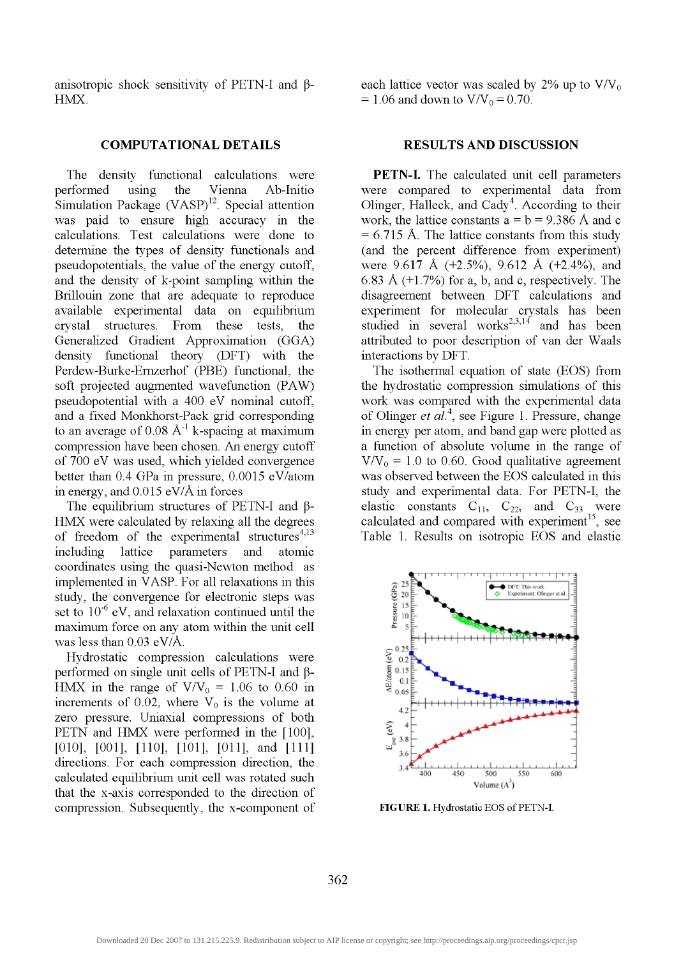anisotropic shock sensitivity of PETN-I and  $\beta$ -HMX.

### **COMPUTATIONAL DETAILS RESULTS AND DISCUSSION**

The density functional calculations were performed using the Vienna Ab-Initio Simulation Package (VASP)<sup>12</sup>. Special attention was paid to ensure high accuracy in the calculations. Test calculations were done to determine the types of density functionals and pseudopotentials, the value of the energy cutoff, and the density of k-point sampling within the Brillouin zone that are adequate to reproduce available experimental data on equilibrium crystal structures. From these tests, the Generalized Gradient Approximation (GGA) density functional theory (DFT) with the Perdew-Burke-Emzerhof (PBE) functional, the soft projected augmented wavefunction (PAW) pseudopotential with a 400 eV nominal cutoff, and a fixed Monkhorst-Pack grid corresponding to an average of  $0.08 \text{ Å}^{-1}$  k-spacing at maximum compression have been chosen. An energy cutoff of 700 eV was used, which yielded convergence better than 0.4 GPa in pressure, 0.0015 eV/atom in energy, and 0.015 eV/A in forces

The equilibrium structures of PETN-I and  $\beta$ -HMX were calculated by relaxing all the degrees of freedom of the experimental structures $4,13$ including lattice parameters and atomic coordinates using the quasi-Newton method as implemented in VASP. For all relaxations in this study, the convergence for electronic steps was set to  $10^{-6}$  eV, and relaxation continued until the maximum force on any atom within the unit cell was less than 0.03 eV/A.

Hydrostatic compression calculations were performed on single unit cells of PETN-I and  $\beta$ -HMX in the range of  $V/V_0 = 1.06$  to 0.60 in increments of 0.02, where  $V_0$  is the volume at zero pressure. Uniaxial compressions of both PETN and HMX were performed in the [100], [010], [001], [110], [101], [011], and [111] directions. For each compression direction, the calculated equilibrium unit cell was rotated such that the x-axis corresponded to the direction of compression. Subsequently, the x-component of each lattice vector was scaled by 2% up to  $V/V_0$  $= 1.06$  and down to  $V/V_0 = 0.70$ .

**PETN-I.** The calculated unit cell parameters were compared to experimental data from Olinger, Halleck, and Cady<sup>4</sup>. According to their work, the lattice constants  $a = b = 9.386$  Å and c  $= 6.715$  Å. The lattice constants from this study (and the percent difference from experiment) were 9.617 A (+2.5%), 9.612 A (+2.4%), and 6.83 Å  $(+1.7%)$  for a, b, and c, respectively. The disagreement between DFT calculations and experiment for molecular crystals has been studied in several works<sup>2,3,14</sup> and has been attributed to poor description of van der Waals interactions by DFT.

The isothermal equation of state (EOS) from the hydrostatic compression simulations of this work was compared with the experimental data of dinger *et al.'^,* see Figure 1. Pressure, change in energy per atom, and band gap were plotted as a function of absolute volume in the range of  $V/V_0 = 1.0$  to 0.60. Good qualitative agreement was observed between the EOS calculated in this study and experimental data. For PETN-I, the elastic constants  $C_{11}$ ,  $C_{22}$ , and  $C_{33}$  were calculated and compared with experiment<sup>15</sup>, see Table 1. Results on isotropic EOS and elastic



FIGURE 1. Hydrostatic EOS of PETN-I.

362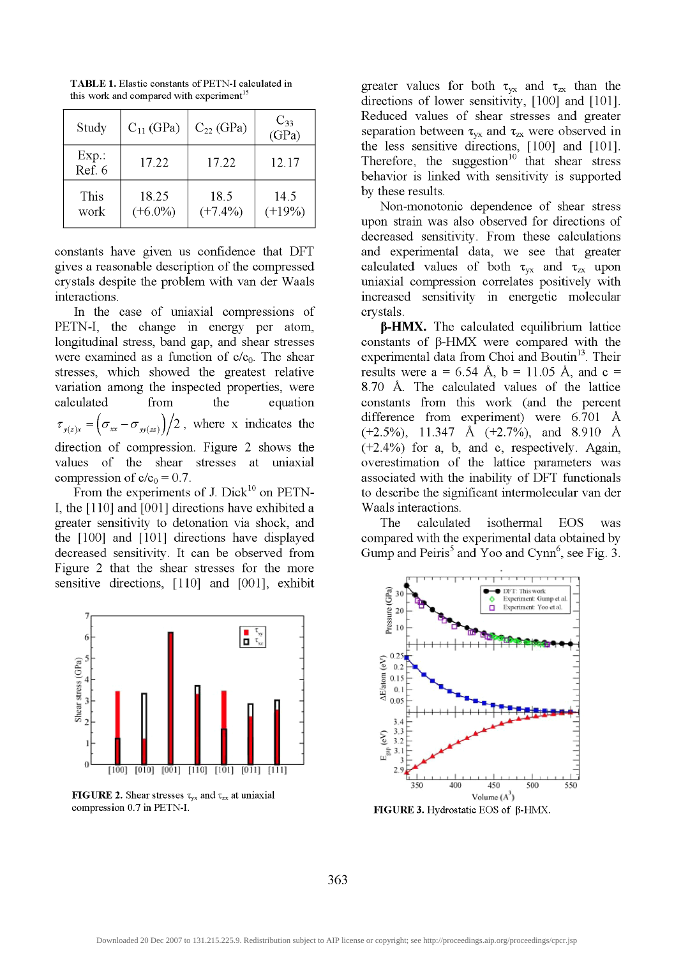| Study             | $C_{11}$ (GPa)      | $C_{22}$ (GPa)     | $C_{33}$<br>(GPa) |
|-------------------|---------------------|--------------------|-------------------|
| $Exp.$ :<br>Ref 6 | 17.22               | 17.22              | 12.17             |
| This<br>work      | 18.25<br>$(+6.0\%)$ | 18.5<br>$(+7.4\%)$ | 14.5<br>$(+19%)$  |

**TABLE 1.** Elastic constants of PETN-I calculated in this work and compared with experiment<sup>15</sup>

constants have given us confidence that DFT gives a reasonable description of the compressed crystals despite the problem with van der Waals interactions.

In the case of uniaxial compressions of PETN-1, the change in energy per atom, longitudinal stress, band gap, and shear stresses were examined as a function of  $c/c_0$ . The shear stresses, which showed the greatest relative variation among the inspected properties, were calculated from the equation  $\tau_{y(z)x} = \left( \sigma_{xx} - \sigma_{yy(zz)} \right) / 2$ , where x indicates the direction of compression. Figure 2 shows the values of the shear stresses at uniaxial compression of  $c/c_0 = 0.7$ .

From the experiments of J. Dick<sup>10</sup> on PETN-1, the [110] and [001] directions have exhibited a greater sensitivity to detonation via shock, and the [100] and [101] directions have displayed decreased sensitivity. It can be observed from Figure 2 that the shear stresses for the more sensitive directions, [110] and [001], exhibit



**FIGURE 2.** Shear stresses  $\tau_{yx}$  and  $\tau_{zx}$  at uniaxial compression 0.7 in PETN-I.

greater values for both  $\tau_{yx}$  and  $\tau_{zx}$  than the directions of lower sensitivity, [100] and [101]. Reduced values of shear stresses and greater separation between  $\tau_{yx}$  and  $\tau_{zx}$  were observed in the less sensitive directions, [100] and [101]. Therefore, the suggestion<sup>10</sup> that shear stress behavior is linked with sensitivity is supported by these results.

Non-monotonic dependence of shear stress upon strain was also observed for directions of decreased sensitivity. From these calculations and experimental data, we see that greater calculated values of both  $\tau_{vx}$  and  $\tau_{zx}$  upon uniaxial compression correlates positively with increased sensitivity in energetic molecular crystals.

**P-HMX.** The calculated equilibrium lattice constants of  $\beta$ -HMX were compared with the experimental data from Choi and Boutin<sup>13</sup>. Their results were  $a = 6.54$  Å,  $b = 11.05$  Å, and  $c =$ 8.70 A. The calculated values of the lattice constants from this work (and the percent difference from experiment) were 6.701 A (+2.5%), 11.347 A (+2.7%), and 8.910 A (+2.4%)) for a, b, and c, respectively. Again, overestimation of the lattice parameters was associated with the inability of DFT functionals to describe the significant intermolecular van der Waals interactions.

The calculated isothermal EOS was compared with the experimental data obtained by Gump and Peiris<sup>5</sup> and Yoo and Cynn<sup>6</sup>, see Fig. 3.